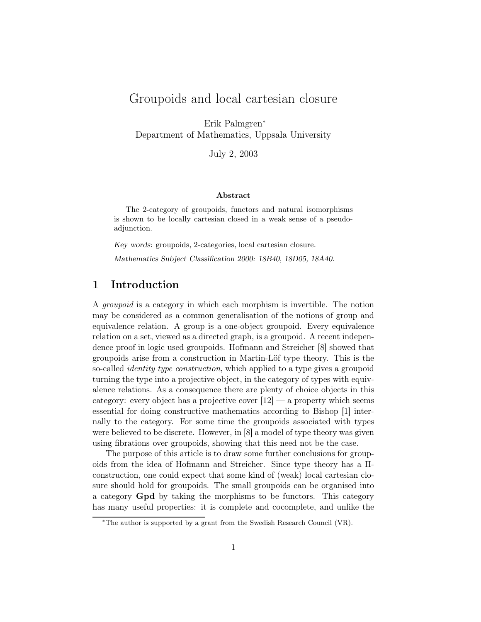# Groupoids and local cartesian closure

Erik Palmgren<sup>∗</sup> Department of Mathematics, Uppsala University

July 2, 2003

#### Abstract

The 2-category of groupoids, functors and natural isomorphisms is shown to be locally cartesian closed in a weak sense of a pseudoadjunction.

Key words: groupoids, 2-categories, local cartesian closure.

Mathematics Subject Classification 2000: 18B40, 18D05, 18A40.

## 1 Introduction

A groupoid is a category in which each morphism is invertible. The notion may be considered as a common generalisation of the notions of group and equivalence relation. A group is a one-object groupoid. Every equivalence relation on a set, viewed as a directed graph, is a groupoid. A recent independence proof in logic used groupoids. Hofmann and Streicher [8] showed that groupoids arise from a construction in Martin-Löf type theory. This is the so-called identity type construction, which applied to a type gives a groupoid turning the type into a projective object, in the category of types with equivalence relations. As a consequence there are plenty of choice objects in this category: every object has a projective cover  $[12]$  — a property which seems essential for doing constructive mathematics according to Bishop [1] internally to the category. For some time the groupoids associated with types were believed to be discrete. However, in [8] a model of type theory was given using fibrations over groupoids, showing that this need not be the case.

The purpose of this article is to draw some further conclusions for groupoids from the idea of Hofmann and Streicher. Since type theory has a Πconstruction, one could expect that some kind of (weak) local cartesian closure should hold for groupoids. The small groupoids can be organised into a category Gpd by taking the morphisms to be functors. This category has many useful properties: it is complete and cocomplete, and unlike the

<sup>∗</sup>The author is supported by a grant from the Swedish Research Council (VR).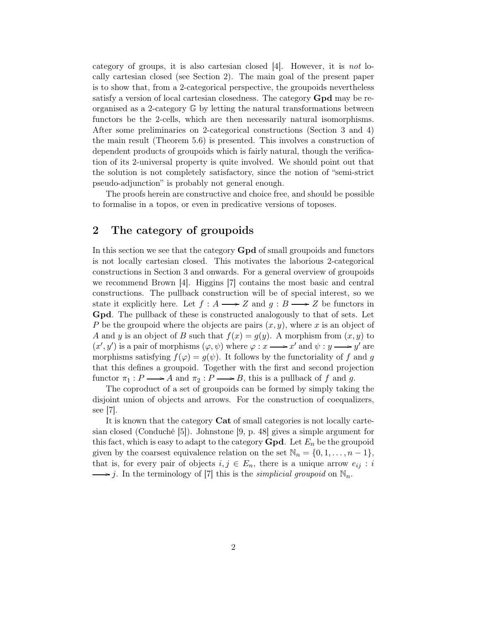category of groups, it is also cartesian closed  $[4]$ . However, it is not locally cartesian closed (see Section 2). The main goal of the present paper is to show that, from a 2-categorical perspective, the groupoids nevertheless satisfy a version of local cartesian closedness. The category Gpd may be reorganised as a 2-category G by letting the natural transformations between functors be the 2-cells, which are then necessarily natural isomorphisms. After some preliminaries on 2-categorical constructions (Section 3 and 4) the main result (Theorem 5.6) is presented. This involves a construction of dependent products of groupoids which is fairly natural, though the verification of its 2-universal property is quite involved. We should point out that the solution is not completely satisfactory, since the notion of "semi-strict pseudo-adjunction" is probably not general enough.

The proofs herein are constructive and choice free, and should be possible to formalise in a topos, or even in predicative versions of toposes.

## 2 The category of groupoids

In this section we see that the category Gpd of small groupoids and functors is not locally cartesian closed. This motivates the laborious 2-categorical constructions in Section 3 and onwards. For a general overview of groupoids we recommend Brown [4]. Higgins [7] contains the most basic and central constructions. The pullback construction will be of special interest, so we state it explicitly here. Let  $f : A \longrightarrow Z$  and  $g : B \longrightarrow Z$  be functors in Gpd. The pullback of these is constructed analogously to that of sets. Let P be the groupoid where the objects are pairs  $(x, y)$ , where x is an object of A and y is an object of B such that  $f(x) = g(y)$ . A morphism from  $(x, y)$  to  $(x', y')$  is a pair of morphisms  $(\varphi, \psi)$  where  $\varphi : x \longrightarrow x'$  and  $\psi : y \longrightarrow y'$  are morphisms satisfying  $f(\varphi) = g(\psi)$ . It follows by the functoriality of f and g that this defines a groupoid. Together with the first and second projection functor  $\pi_1 : P \longrightarrow A$  and  $\pi_2 : P \longrightarrow B$ , this is a pullback of f and g.

The coproduct of a set of groupoids can be formed by simply taking the disjoint union of objects and arrows. For the construction of coequalizers, see [7].

It is known that the category Cat of small categories is not locally cartesian closed (Conduché [5]). Johnstone [9, p. 48] gives a simple argument for this fact, which is easy to adapt to the category **Gpd**. Let  $E_n$  be the groupoid given by the coarsest equivalence relation on the set  $\mathbb{N}_n = \{0, 1, \ldots, n-1\},\$ that is, for every pair of objects  $i, j \in E_n$ , there is a unique arrow  $e_{ij} : i$  $\longrightarrow j$ . In the terminology of [7] this is the *simplicial groupoid* on  $\mathbb{N}_n$ .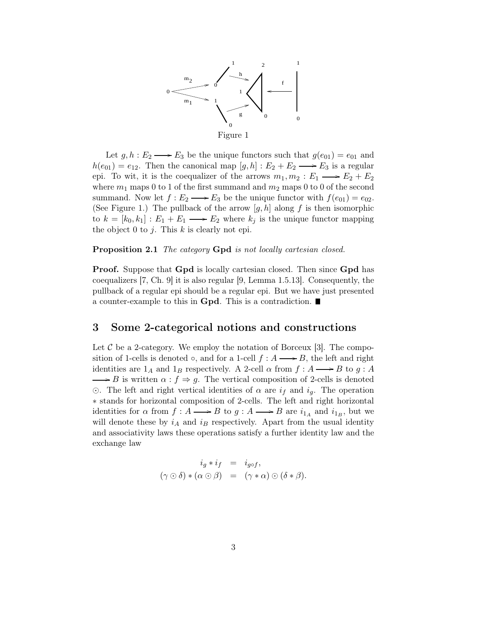

Let  $g, h : E_2 \longrightarrow E_3$  be the unique functors such that  $g(e_{01}) = e_{01}$  and  $h(e_{01}) = e_{12}$ . Then the canonical map  $[g, h] : E_2 + E_2 \longrightarrow E_3$  is a regular epi. To wit, it is the coequalizer of the arrows  $m_1, m_2 : E_1 \longrightarrow E_2 + E_2$ where  $m_1$  maps 0 to 1 of the first summand and  $m_2$  maps 0 to 0 of the second summand. Now let  $f: E_2 \longrightarrow E_3$  be the unique functor with  $f(e_{01}) = e_{02}$ . (See Figure 1.) The pullback of the arrow  $[g,h]$  along f is then isomorphic to  $k = [k_0, k_1] : E_1 + E_1 \longrightarrow E_2$  where  $k_j$  is the unique functor mapping the object 0 to j. This  $k$  is clearly not epi.

Proposition 2.1 The category Gpd is not locally cartesian closed.

Proof. Suppose that Gpd is locally cartesian closed. Then since Gpd has coequalizers [7, Ch. 9] it is also regular [9, Lemma 1.5.13]. Consequently, the pullback of a regular epi should be a regular epi. But we have just presented a counter-example to this in **Gpd**. This is a contradiction.

### 3 Some 2-categorical notions and constructions

Let  $\mathcal C$  be a 2-category. We employ the notation of Borceux [3]. The composition of 1-cells is denoted  $\circ$ , and for a 1-cell  $f : A \longrightarrow B$ , the left and right identities are  $1_A$  and  $1_B$  respectively. A 2-cell  $\alpha$  from  $f : A \longrightarrow B$  to  $g : A$  $\rightarrow$  B is written  $\alpha$  :  $f \Rightarrow g$ . The vertical composition of 2-cells is denoted  $\odot$ . The left and right vertical identities of  $\alpha$  are  $i_f$  and  $i_g$ . The operation ∗ stands for horizontal composition of 2-cells. The left and right horizontal identities for  $\alpha$  from  $f: A \longrightarrow B$  to  $g: A \longrightarrow B$  are  $i_{1_A}$  and  $i_{1_B}$ , but we will denote these by  $i_A$  and  $i_B$  respectively. Apart from the usual identity and associativity laws these operations satisfy a further identity law and the exchange law

$$
i_g * i_f = i_{g \circ f},
$$
  

$$
(\gamma \odot \delta) * (\alpha \odot \beta) = (\gamma * \alpha) \odot (\delta * \beta).
$$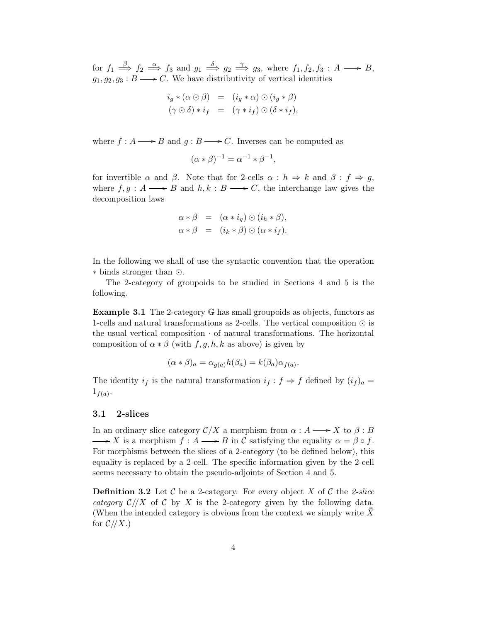for  $f_1 \stackrel{\beta}{\Longrightarrow} f_2 \stackrel{\alpha}{\Longrightarrow} f_3$  and  $g_1 \stackrel{\delta}{\Longrightarrow} g_2 \stackrel{\gamma}{\Longrightarrow} g_3$ , where  $f_1, f_2, f_3 : A \longrightarrow B$ ,  $g_1, g_2, g_3 : B \longrightarrow C$ . We have distributivity of vertical identities

$$
i_g * (\alpha \odot \beta) = (i_g * \alpha) \odot (i_g * \beta)
$$
  

$$
(\gamma \odot \delta) * i_f = (\gamma * i_f) \odot (\delta * i_f),
$$

where  $f : A \longrightarrow B$  and  $g : B \longrightarrow C$ . Inverses can be computed as

$$
(\alpha * \beta)^{-1} = \alpha^{-1} * \beta^{-1},
$$

for invertible  $\alpha$  and  $\beta$ . Note that for 2-cells  $\alpha : h \Rightarrow k$  and  $\beta : f \Rightarrow g$ , where  $f, g : A \longrightarrow B$  and  $h, k : B \longrightarrow C$ , the interchange law gives the decomposition laws

$$
\alpha * \beta = (\alpha * i_g) \odot (i_h * \beta),
$$
  

$$
\alpha * \beta = (i_k * \beta) \odot (\alpha * i_f).
$$

In the following we shall of use the syntactic convention that the operation ∗ binds stronger than ⊙.

The 2-category of groupoids to be studied in Sections 4 and 5 is the following.

**Example 3.1** The 2-category  $\mathbb{G}$  has small groupoids as objects, functors as 1-cells and natural transformations as 2-cells. The vertical composition ⊙ is the usual vertical composition  $\cdot$  of natural transformations. The horizontal composition of  $\alpha * \beta$  (with  $f, g, h, k$  as above) is given by

$$
(\alpha * \beta)_a = \alpha_{g(a)} h(\beta_a) = k(\beta_a) \alpha_{f(a)}.
$$

The identity  $i_f$  is the natural transformation  $i_f : f \Rightarrow f$  defined by  $(i_f)_a =$  $1_{f(a)}$ .

### 3.1 2-slices

In an ordinary slice category  $\mathcal{C}/X$  a morphism from  $\alpha : A \longrightarrow X$  to  $\beta : B$  $\longrightarrow X$  is a morphism  $f : A \longrightarrow B$  in C satisfying the equality  $\alpha = \beta \circ f$ . For morphisms between the slices of a 2-category (to be defined below), this equality is replaced by a 2-cell. The specific information given by the 2-cell seems necessary to obtain the pseudo-adjoints of Section 4 and 5.

**Definition 3.2** Let C be a 2-category. For every object X of C the 2-slice category  $\mathcal{C}/X$  of C by X is the 2-category given by the following data. (When the intended category is obvious from the context we simply write X for  $\mathcal{C}/\mathcal{X}$ .)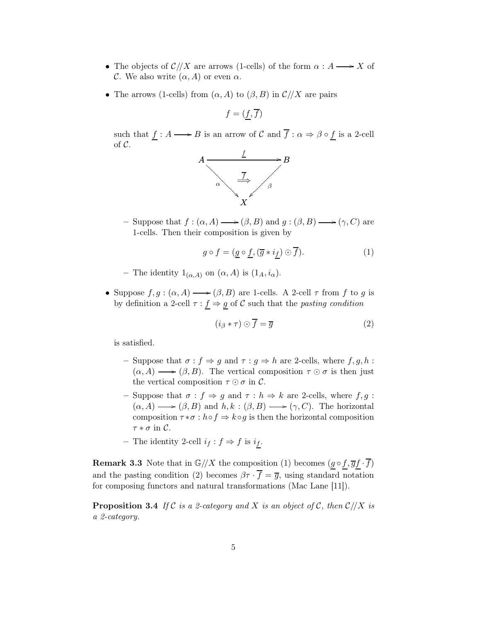- The objects of  $\mathcal{C}/X$  are arrows (1-cells) of the form  $\alpha : A \longrightarrow X$  of C. We also write  $(\alpha, A)$  or even  $\alpha$ .
- The arrows (1-cells) from  $(\alpha, A)$  to  $(\beta, B)$  in  $\mathcal{C}/X$  are pairs

$$
f = (\underline{f}, \overline{f})
$$

such that  $f : A \longrightarrow B$  is an arrow of C and  $\overline{f} : \alpha \Rightarrow \beta \circ f$  is a 2-cell of  $\mathcal{C}$ .



– Suppose that  $f : (\alpha, A) \longrightarrow (\beta, B)$  and  $g : (\beta, B) \longrightarrow (\gamma, C)$  are 1-cells. Then their composition is given by

$$
g \circ f = (\underline{g} \circ \underline{f}, (\overline{g} * i_{\underline{f}}) \odot \overline{f}). \tag{1}
$$

- The identity  $1_{(\alpha,A)}$  on  $(\alpha,A)$  is  $(1_A,i_\alpha)$ .
- Suppose  $f, g : (\alpha, A) \longrightarrow (\beta, B)$  are 1-cells. A 2-cell  $\tau$  from f to g is by definition a 2-cell  $\tau : f \Rightarrow g$  of C such that the *pasting condition*

$$
(i_{\beta} * \tau) \odot \overline{f} = \overline{g} \tag{2}
$$

is satisfied.

- Suppose that  $\sigma : f \Rightarrow g$  and  $\tau : g \Rightarrow h$  are 2-cells, where  $f, g, h$ :  $(\alpha, A) \longrightarrow (\beta, B)$ . The vertical composition  $\tau \odot \sigma$  is then just the vertical composition  $\tau \odot \sigma$  in C.
- Suppose that  $\sigma : f \Rightarrow g$  and  $\tau : h \Rightarrow k$  are 2-cells, where  $f, g$ :  $(\alpha, A) \longrightarrow (\beta, B)$  and  $h, k : (\beta, B) \longrightarrow (\gamma, C)$ . The horizontal composition  $\tau * \sigma : h \circ f \Rightarrow k \circ g$  is then the horizontal composition  $\tau * \sigma$  in  $\mathcal{C}$ .
- The identity 2-cell  $i_f : f \Rightarrow f$  is  $i_f$ .

**Remark 3.3** Note that in  $\mathbb{G}/X$  the composition (1) becomes  $(g \circ f, \overline{g}f \cdot \overline{f})$ and the pasting condition (2) becomes  $\beta \tau \cdot \overline{f} = \overline{g}$ , using standard notation for composing functors and natural transformations (Mac Lane [11]).

**Proposition 3.4** If C is a 2-category and X is an object of C, then  $C/|X|$  is a 2-category.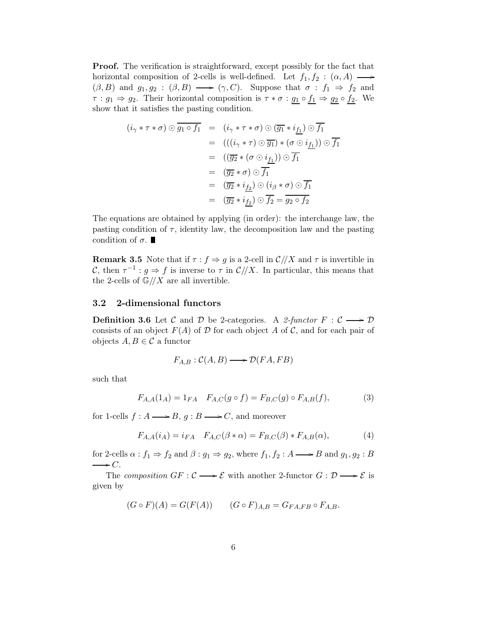Proof. The verification is straightforward, except possibly for the fact that horizontal composition of 2-cells is well-defined. Let  $f_1, f_2 : (\alpha, A) \longrightarrow$  $(\beta, B)$  and  $g_1, g_2 : (\beta, B) \longrightarrow (\gamma, C)$ . Suppose that  $\sigma : f_1 \Rightarrow f_2$  and  $\tau : g_1 \Rightarrow g_2$ . Their horizontal composition is  $\tau * \sigma : g_1 \circ f_1 \Rightarrow g_2 \circ f_2$ . We show that it satisfies the pasting condition.

$$
(i_{\gamma} * \tau * \sigma) \odot \overline{g_1 \circ f_1} = (i_{\gamma} * \tau * \sigma) \odot (\overline{g_1} * i_{\underline{f_1}}) \odot \overline{f_1}
$$
  
\n
$$
= (((i_{\gamma} * \tau) \odot \overline{g_1}) * (\sigma \odot i_{\underline{f_1}})) \odot \overline{f_1}
$$
  
\n
$$
= ((\overline{g_2} * (\sigma \odot i_{\underline{f_1}})) \odot \overline{f_1})
$$
  
\n
$$
= (\overline{g_2} * \sigma) \odot \overline{f_1}
$$
  
\n
$$
= (\overline{g_2} * i_{\underline{f_2}}) \odot (i_{\beta} * \sigma) \odot \overline{f_1}
$$
  
\n
$$
= (\overline{g_2} * i_{\underline{f_2}}) \odot \overline{f_2} = \overline{g_2 \circ f_2}
$$

The equations are obtained by applying (in order): the interchange law, the pasting condition of  $\tau$ , identity law, the decomposition law and the pasting condition of  $\sigma$ .

**Remark 3.5** Note that if  $\tau : f \Rightarrow g$  is a 2-cell in  $\mathcal{C}/X$  and  $\tau$  is invertible in C, then  $\tau^{-1}$ :  $g \Rightarrow f$  is inverse to  $\tau$  in  $\mathcal{C}/X$ . In particular, this means that the 2-cells of  $\mathbb{G}/X$  are all invertible.

### 3.2 2-dimensional functors

**Definition 3.6** Let C and D be 2-categories. A 2-functor  $F : C \longrightarrow D$ consists of an object  $F(A)$  of D for each object A of C, and for each pair of objects  $A, B \in \mathcal{C}$  a functor

$$
F_{A,B}: \mathcal{C}(A,B) \longrightarrow \mathcal{D}(FA, FB)
$$

such that

$$
F_{A,A}(1_A) = 1_{FA} \quad F_{A,C}(g \circ f) = F_{B,C}(g) \circ F_{A,B}(f), \tag{3}
$$

for 1-cells  $f : A \longrightarrow B$ ,  $g : B \longrightarrow C$ , and moreover

$$
F_{A,A}(i_A) = i_{FA} \quad F_{A,C}(\beta * \alpha) = F_{B,C}(\beta) * F_{A,B}(\alpha), \tag{4}
$$

for 2-cells  $\alpha : f_1 \Rightarrow f_2$  and  $\beta : g_1 \Rightarrow g_2$ , where  $f_1, f_2 : A \longrightarrow B$  and  $g_1, g_2 : B$  $\longrightarrow C$ .

The composition  $GF : \mathcal{C} \longrightarrow \mathcal{E}$  with another 2-functor  $G : \mathcal{D} \longrightarrow \mathcal{E}$  is given by

$$
(G \circ F)(A) = G(F(A)) \qquad (G \circ F)_{A,B} = G_{FA,FB} \circ F_{A,B}.
$$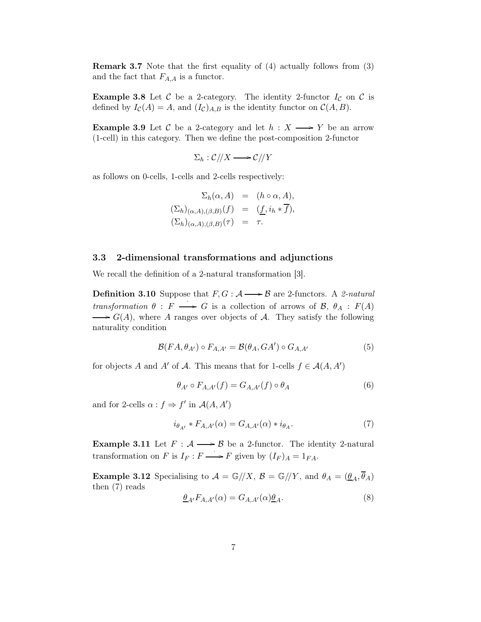Remark 3.7 Note that the first equality of (4) actually follows from (3) and the fact that  $F_{A,A}$  is a functor.

**Example 3.8** Let C be a 2-category. The identity 2-functor  $I_c$  on C is defined by  $I_{\mathcal{C}}(A) = A$ , and  $(I_{\mathcal{C}})_{A,B}$  is the identity functor on  $\mathcal{C}(A, B)$ .

**Example 3.9** Let C be a 2-category and let  $h : X \longrightarrow Y$  be an arrow (1-cell) in this category. Then we define the post-composition 2-functor

$$
\Sigma_h : \mathcal{C}/\!/X \longrightarrow \mathcal{C}/\!/Y
$$

as follows on 0-cells, 1-cells and 2-cells respectively:

$$
\Sigma_h(\alpha, A) = (h \circ \alpha, A),
$$
  
\n
$$
(\Sigma_h)_{(\alpha, A), (\beta, B)}(f) = (\underline{f}, i_h * \overline{f}),
$$
  
\n
$$
(\Sigma_h)_{(\alpha, A), (\beta, B)}(\tau) = \tau.
$$

#### 3.3 2-dimensional transformations and adjunctions

We recall the definition of a 2-natural transformation [3].

**Definition 3.10** Suppose that  $F, G : \mathcal{A} \longrightarrow \mathcal{B}$  are 2-functors. A 2-natural transformation  $\theta : F \longrightarrow G$  is a collection of arrows of  $\mathcal{B}, \theta_A : F(A)$  $\longrightarrow G(A)$ , where A ranges over objects of A. They satisfy the following naturality condition

$$
\mathcal{B}(FA,\theta_{A'}) \circ F_{A,A'} = \mathcal{B}(\theta_A, GA') \circ G_{A,A'} \tag{5}
$$

for objects A and A' of A. This means that for 1-cells  $f \in \mathcal{A}(A, A')$ 

$$
\theta_{A'} \circ F_{A,A'}(f) = G_{A,A'}(f) \circ \theta_A \tag{6}
$$

and for 2-cells  $\alpha : f \Rightarrow f'$  in  $\mathcal{A}(A, A')$ 

$$
i_{\theta_{A'}} * F_{A,A'}(\alpha) = G_{A,A'}(\alpha) * i_{\theta_A}.
$$
 (7)

**Example 3.11** Let  $F : A \longrightarrow B$  be a 2-functor. The identity 2-natural transformation on F is  $I_F: F \longrightarrow F$  given by  $(I_F)_A = 1_{FA}$ .

**Example 3.12** Specialising to  $\mathcal{A} = \mathbb{G}/X$ ,  $\mathcal{B} = \mathbb{G}/Y$ , and  $\theta_A = (\underline{\theta}_A, \overline{\theta}_A)$ then (7) reads

$$
\underline{\theta}_{A'} F_{A,A'}(\alpha) = G_{A,A'}(\alpha) \underline{\theta}_A. \tag{8}
$$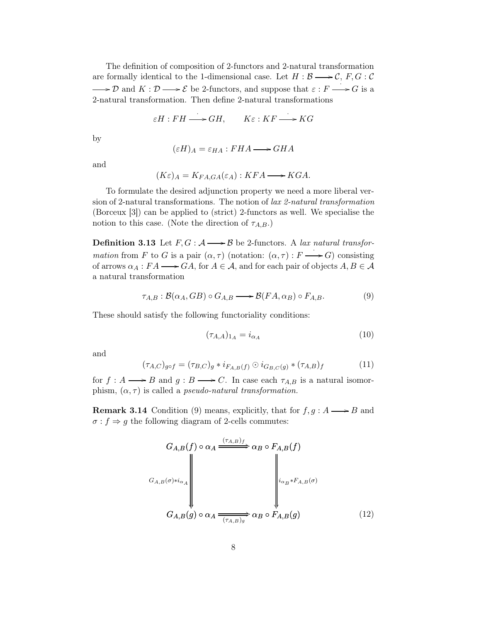The definition of composition of 2-functors and 2-natural transformation are formally identical to the 1-dimensional case. Let  $H : \mathcal{B} \longrightarrow \mathcal{C}, F, G : \mathcal{C}$ D and  $K: \mathcal{D} \longrightarrow \mathcal{E}$  be 2-functors, and suppose that  $\varepsilon: F \longrightarrow G$  is a 2-natural transformation. Then define 2-natural transformations

$$
\varepsilon H : FH \longrightarrow GH, \qquad K\varepsilon : KF \longrightarrow KG
$$

by

$$
(\varepsilon H)_A = \varepsilon_{HA} : FHA \longrightarrow GHA
$$

and

$$
(K\varepsilon)_A = K_{FA,GA}(\varepsilon_A) : KFA \longrightarrow KGA.
$$

To formulate the desired adjunction property we need a more liberal version of 2-natural transformations. The notion of lax 2-natural transformation (Borceux [3]) can be applied to (strict) 2-functors as well. We specialise the notion to this case. (Note the direction of  $\tau_{A,B}$ .)

**Definition 3.13** Let  $F, G : \mathcal{A} \longrightarrow \mathcal{B}$  be 2-functors. A lax natural transformation from F to G is a pair  $(\alpha, \tau)$  (notation:  $(\alpha, \tau) : F \longrightarrow G$ ) consisting of arrows  $\alpha_A : FA \longrightarrow GA$ , for  $A \in \mathcal{A}$ , and for each pair of objects  $A, B \in \mathcal{A}$ a natural transformation

$$
\tau_{A,B} : \mathcal{B}(\alpha_A, GB) \circ G_{A,B} \longrightarrow \mathcal{B}(FA, \alpha_B) \circ F_{A,B}.
$$
 (9)

These should satisfy the following functoriality conditions:

$$
(\tau_{A,A})_{1_A} = i_{\alpha_A} \tag{10}
$$

and

$$
(\tau_{A,C})_{g \circ f} = (\tau_{B,C})_g * i_{F_{A,B}(f)} \odot i_{G_{B,C}(g)} * (\tau_{A,B})_f
$$
 (11)

for  $f : A \longrightarrow B$  and  $g : B \longrightarrow C$ . In case each  $\tau_{A,B}$  is a natural isomorphism,  $(\alpha, \tau)$  is called a *pseudo-natural transformation*.

**Remark 3.14** Condition (9) means, explicitly, that for  $f, g : A \longrightarrow B$  and  $\sigma:f\Rightarrow g$  the following diagram of 2-cells commutes:

$$
G_{A,B}(f) \circ \alpha_A \xrightarrow{(\tau_{A,B})_f} \alpha_B \circ F_{A,B}(f)
$$
\n
$$
G_{A,B}(\sigma) * i_{\alpha_A} \downarrow \qquad \qquad \downarrow \qquad \qquad \downarrow \qquad \qquad \downarrow \qquad \downarrow \qquad \downarrow \qquad \downarrow \qquad \downarrow \qquad \downarrow \qquad \downarrow \qquad \downarrow \qquad \downarrow \qquad \downarrow \qquad \downarrow \qquad \downarrow \qquad \downarrow \qquad \downarrow \qquad \downarrow \qquad \downarrow \qquad \downarrow \qquad \downarrow \qquad \downarrow \qquad \downarrow \qquad \downarrow \qquad \downarrow \qquad \downarrow \qquad \downarrow \qquad \downarrow \qquad \downarrow \qquad \downarrow \qquad \downarrow \qquad \downarrow \qquad \downarrow \qquad \downarrow \qquad \downarrow \qquad \downarrow \qquad \downarrow \qquad \downarrow \qquad \downarrow \qquad \downarrow \qquad \downarrow \qquad \downarrow \qquad \downarrow \qquad \downarrow \qquad \downarrow \qquad \downarrow \qquad \downarrow \qquad \downarrow \qquad \downarrow \qquad \downarrow \qquad \downarrow \qquad \downarrow \qquad \downarrow \qquad \downarrow \qquad \downarrow \qquad \downarrow \qquad \downarrow \qquad \downarrow \qquad \downarrow \qquad \downarrow \qquad \downarrow \qquad \downarrow \qquad \downarrow \qquad \downarrow \qquad \downarrow \qquad \downarrow \qquad \downarrow \qquad \downarrow \qquad \downarrow \qquad \downarrow \qquad \downarrow \qquad \downarrow \qquad \downarrow \qquad \downarrow \qquad \downarrow \qquad \downarrow \qquad \downarrow \qquad \downarrow \qquad \downarrow \qquad \downarrow \qquad \downarrow \qquad \downarrow \qquad \downarrow \qquad \downarrow \qquad \downarrow \qquad \downarrow \qquad \downarrow \qquad \downarrow \qquad \downarrow \qquad \downarrow \qquad \downarrow \qquad \downarrow \qquad \downarrow \qquad \downarrow \qquad \downarrow \qquad \downarrow \qquad \downarrow \qquad \downarrow \qquad \downarrow \qquad \downarrow \qquad \downarrow \qquad \downarrow \qquad \downarrow \qquad \downarrow \qquad \downarrow \qquad \downarrow \qquad \downarrow \qquad \downarrow \qquad \downarrow \qquad \downarrow \qquad \downarrow \qquad \downarrow \qquad \downarrow \qquad \downarrow \qquad \downarrow \q
$$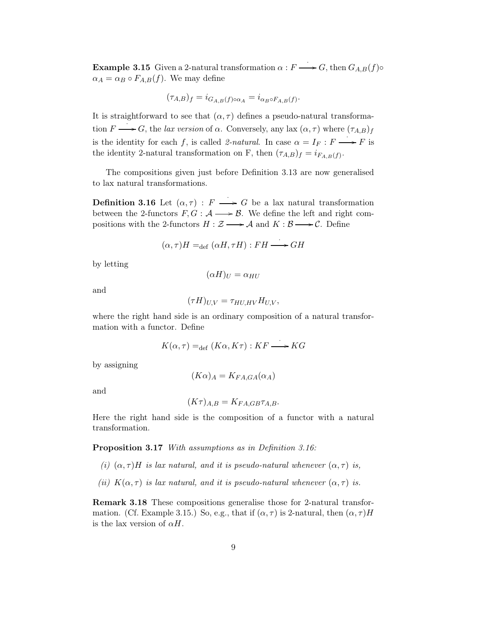**Example 3.15** Given a 2-natural transformation  $\alpha : F \longrightarrow G$ , then  $G_{A,B}(f)$ <sup>o</sup>  $\alpha_A = \alpha_B \circ F_{A,B}(f)$ . We may define

$$
(\tau_{A,B})_f = i_{G_{A,B}(f)\circ\alpha_A} = i_{\alpha_B\circ F_{A,B}(f)}.
$$

It is straightforward to see that  $(\alpha, \tau)$  defines a pseudo-natural transformation  $F \longrightarrow G$ , the *lax version* of  $\alpha$ . Conversely, any lax  $(\alpha, \tau)$  where  $(\tau_{A,B})_f$ is the identity for each f, is called 2-natural. In case  $\alpha = I_F : F \longrightarrow F$  is the identity 2-natural transformation on F, then  $(\tau_{A,B})_f = i_{F_{A,B}(f)}$ .

The compositions given just before Definition 3.13 are now generalised to lax natural transformations.

**Definition 3.16** Let  $(\alpha, \tau) : F \longrightarrow G$  be a lax natural transformation between the 2-functors  $F, G : \mathcal{A} \longrightarrow \mathcal{B}$ . We define the left and right compositions with the 2-functors  $H : \mathcal{Z} \longrightarrow \mathcal{A}$  and  $K : \mathcal{B} \longrightarrow \mathcal{C}$ . Define

$$
(\alpha, \tau)H =_{\text{def}} (\alpha H, \tau H) : FH \longrightarrow GH
$$

by letting

 $(\alpha H)_U = \alpha_{HU}$ 

and

$$
(\tau H)_{U,V} = \tau_{HU,HV} H_{U,V},
$$

where the right hand side is an ordinary composition of a natural transformation with a functor. Define

$$
K(\alpha, \tau) =_{\text{def}} (K\alpha, K\tau) : K\Gamma \longrightarrow KG
$$

by assigning

$$
(K\alpha)_A = K_{FA,GA}(\alpha_A)
$$

and

$$
(K\tau)_{A,B} = K_{FA,GB}\tau_{A,B}.
$$

Here the right hand side is the composition of a functor with a natural transformation.

Proposition 3.17 With assumptions as in Definition 3.16:

- (i)  $(\alpha, \tau)H$  is lax natural, and it is pseudo-natural whenever  $(\alpha, \tau)$  is,
- (ii)  $K(\alpha, \tau)$  is lax natural, and it is pseudo-natural whenever  $(\alpha, \tau)$  is.

Remark 3.18 These compositions generalise those for 2-natural transformation. (Cf. Example 3.15.) So, e.g., that if  $(\alpha, \tau)$  is 2-natural, then  $(\alpha, \tau)H$ is the lax version of  $\alpha H$ .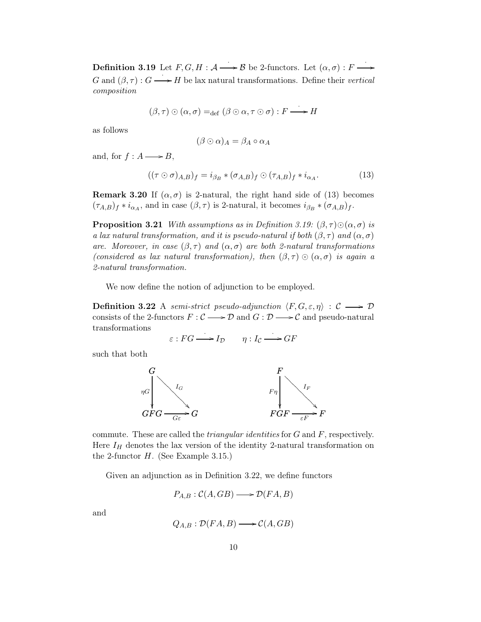**Definition 3.19** Let  $F, G, H : \mathcal{A} \longrightarrow \mathcal{B}$  be 2-functors. Let  $(\alpha, \sigma) : F \longrightarrow$ G and  $(\beta, \tau)$ :  $G \longrightarrow H$  be lax natural transformations. Define their vertical composition

$$
(\beta,\tau)\odot(\alpha,\sigma)=_{\mathrm{def}}(\beta\odot\alpha,\tau\odot\sigma):F\longrightarrow H
$$

as follows

$$
(\beta \odot \alpha)_A = \beta_A \circ \alpha_A
$$

and, for  $f : A \longrightarrow B$ ,

$$
((\tau \odot \sigma)_{A,B})_f = i_{\beta_B} * (\sigma_{A,B})_f \odot (\tau_{A,B})_f * i_{\alpha_A}.
$$
 (13)

**Remark 3.20** If  $(\alpha, \sigma)$  is 2-natural, the right hand side of (13) becomes  $(\tau_{A,B})_f * i_{\alpha_A}$ , and in case  $(\beta, \tau)$  is 2-natural, it becomes  $i_{\beta_B} * (\sigma_{A,B})_f$ .

**Proposition 3.21** With assumptions as in Definition 3.19:  $(\beta, \tau) \odot (\alpha, \sigma)$  is a lax natural transformation, and it is pseudo-natural if both  $(\beta, \tau)$  and  $(\alpha, \sigma)$ are. Moreover, in case  $(\beta, \tau)$  and  $(\alpha, \sigma)$  are both 2-natural transformations (considered as lax natural transformation), then  $(\beta, \tau) \odot (\alpha, \sigma)$  is again a 2-natural transformation.

We now define the notion of adjunction to be employed.

**Definition 3.22** A semi-strict pseudo-adjunction  $\langle F, G, \varepsilon, \eta \rangle : \mathcal{C} \longrightarrow \mathcal{D}$ consists of the 2-functors  $F: \mathcal{C} \longrightarrow \mathcal{D}$  and  $G: \mathcal{D} \longrightarrow \mathcal{C}$  and pseudo-natural transformations

$$
\varepsilon: FG \longrightarrow I_{\mathcal{D}} \qquad \eta: I_{\mathcal{C}} \longrightarrow GF
$$

such that both



commute. These are called the *triangular identities* for  $G$  and  $F$ , respectively. Here  $I_H$  denotes the lax version of the identity 2-natural transformation on the 2-functor  $H$ . (See Example 3.15.)

Given an adjunction as in Definition 3.22, we define functors

$$
P_{A,B}: \mathcal{C}(A, GB) \longrightarrow \mathcal{D}(FA, B)
$$

and

$$
Q_{A,B} : \mathcal{D}(FA, B) \longrightarrow \mathcal{C}(A, GB)
$$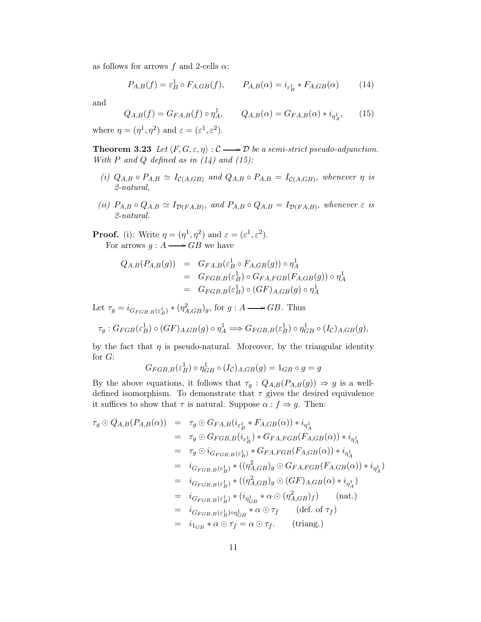as follows for arrows f and 2-cells  $\alpha$ :

$$
P_{A,B}(f) = \varepsilon_B^1 \circ F_{A,GB}(f), \qquad P_{A,B}(\alpha) = i_{\varepsilon_B^1} * F_{A,GB}(\alpha) \tag{14}
$$

and

$$
Q_{A,B}(f) = G_{FA,B}(f) \circ \eta_A^1, \qquad Q_{A,B}(\alpha) = G_{FA,B}(\alpha) * i_{\eta_A^1}, \qquad (15)
$$

where  $\eta = (\eta^1, \eta^2)$  and  $\varepsilon = (\varepsilon^1, \varepsilon^2)$ .

**Theorem 3.23** Let  $\langle F, G, \varepsilon, \eta \rangle : C \longrightarrow \mathcal{D}$  be a semi-strict pseudo-adjunction. With P and Q defined as in  $(14)$  and  $(15)$ :

- (i)  $Q_{A,B} \circ P_{A,B} \simeq I_{\mathcal{C}(A,GB)}$  and  $Q_{A,B} \circ P_{A,B} = I_{\mathcal{C}(A,GB)}$ , whenever  $\eta$  is 2-natural,
- (ii)  $P_{A,B} \circ Q_{A,B} \simeq I_{\mathcal{D}(FA,B)}$ , and  $P_{A,B} \circ Q_{A,B} = I_{\mathcal{D}(FA,B)}$ , whenever  $\varepsilon$  is 2-natural.

**Proof.** (i): Write  $\eta = (\eta^1, \eta^2)$  and  $\varepsilon = (\varepsilon^1, \varepsilon^2)$ . For arrows  $g : A \longrightarrow GB$  we have

$$
Q_{A,B}(P_{A,B}(g)) = G_{FA,B}(\varepsilon_B^1 \circ F_{A,GB}(g)) \circ \eta_A^1
$$
  
= 
$$
G_{FGB,B}(\varepsilon_B^1) \circ G_{FA,FGB}(F_{A,GB}(g)) \circ \eta_A^1
$$
  
= 
$$
G_{FGB,B}(\varepsilon_B^1) \circ (GF)_{A,GB}(g) \circ \eta_A^1
$$

Let  $\tau_g = i_{G_{FGB,B}(\varepsilon_B^1)} * (\eta_{A,GB}^2)_g$ , for  $g : A \longrightarrow GB$ . Thus

$$
\tau_g: G_{FGB}(\varepsilon_B^1) \circ (GF)_{A,GB}(g) \circ \eta_A^1 \Longrightarrow G_{FGB,B}(\varepsilon_B^1) \circ \eta_{GB}^1 \circ (I_{\mathcal{C}})_{A,GB}(g),
$$

by the fact that  $\eta$  is pseudo-natural. Moreover, by the triangular identity for G:

$$
G_{FGB,B}(\varepsilon_B^1) \circ \eta_{GB}^1 \circ (I_{\mathcal{C}})_{A,GB}(g) = 1_{GB} \circ g = g
$$

By the above equations, it follows that  $\tau_g$  :  $Q_{A,B}(P_{A,B}(g)) \Rightarrow g$  is a welldefined isomorphism. To demonstrate that  $\tau$  gives the desired equivalence it suffices to show that  $\tau$  is natural. Suppose  $\alpha : f \Rightarrow g$ . Then:

$$
\tau_g \odot Q_{A,B}(P_{A,B}(\alpha)) = \tau_g \odot G_{FA,B}(i_{\varepsilon_B^1} * F_{A,GB}(\alpha)) * i_{\eta_A^1}
$$
  
\n
$$
= \tau_g \odot G_{FGB,B}(i_{\varepsilon_B^1}) * G_{FA,FGB}(F_{A,GB}(\alpha)) * i_{\eta_A^1}
$$
  
\n
$$
= \tau_g \odot i_{G_{FGB,B}(\varepsilon_B^1)} * G_{FA,FGB}(F_{A,GB}(\alpha)) * i_{\eta_A^1}
$$
  
\n
$$
= i_{G_{FGB,B}(\varepsilon_B^1)} * ((\eta_{A,GB}^2)_g \odot G_{FA,FGB}(F_{A,GB}(\alpha)) * i_{\eta_A^1})
$$
  
\n
$$
= i_{G_{FGB,B}(\varepsilon_B^1)} * ((\eta_{A,GB}^2)_g \odot (GF)_{A,GB}(\alpha) * i_{\eta_A^1})
$$
  
\n
$$
= i_{G_{FGB,B}(\varepsilon_B^1)} * (i_{\eta_{GB}^1} * \alpha \odot (\eta_{A,GB}^2)_f) \qquad (nat.)
$$
  
\n
$$
= i_{G_{FGB,B}(\varepsilon_B^1) \circ \eta_{GB}^1} * \alpha \odot \tau_f \qquad (def. of \tau_f)
$$
  
\n
$$
= i_{1_{GB}} * \alpha \odot \tau_f = \alpha \odot \tau_f. \qquad (triang.)
$$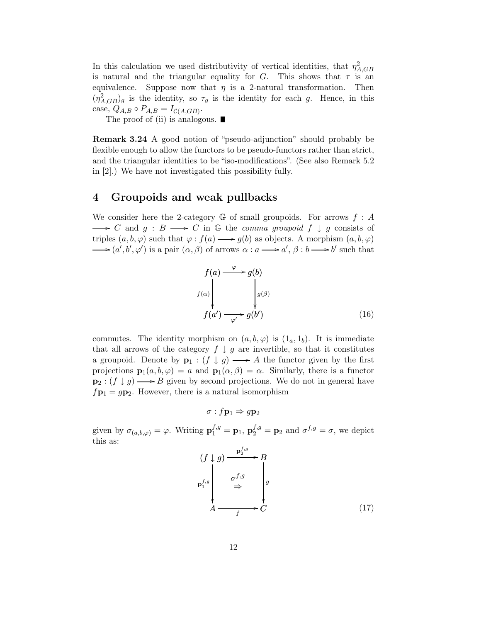In this calculation we used distributivity of vertical identities, that  $\eta_{A,GB}^2$ is natural and the triangular equality for G. This shows that  $\tau$  is an equivalence. Suppose now that  $\eta$  is a 2-natural transformation. Then  $(\eta_{A,GB}^2)_g$  is the identity, so  $\tau_g$  is the identity for each g. Hence, in this case,  $Q_{A,B} \circ P_{A,B} = I_{\mathcal{C}(A,GB)}$ .

The proof of (ii) is analogous.  $\blacksquare$ 

Remark 3.24 A good notion of "pseudo-adjunction" should probably be flexible enough to allow the functors to be pseudo-functors rather than strict, and the triangular identities to be "iso-modifications". (See also Remark 5.2 in [2].) We have not investigated this possibility fully.

## 4 Groupoids and weak pullbacks

We consider here the 2-category G of small groupoids. For arrows  $f : A$  $\longrightarrow C$  and  $g : B \longrightarrow C$  in G the *comma groupoid*  $f \downarrow g$  consists of triples  $(a, b, \varphi)$  such that  $\varphi : f(a) \longrightarrow g(b)$  as objects. A morphism  $(a, b, \varphi)$  $(a', b', \varphi')$  is a pair  $(\alpha, \beta)$  of arrows  $\alpha : a \longrightarrow a', \beta : b \longrightarrow b'$  such that

$$
f(a) \xrightarrow{\varphi} g(b)
$$
  

$$
f(a') \xrightarrow{\varphi} g(b')
$$
  

$$
f(a') \xrightarrow{\varphi'} g(b')
$$
 (16)

commutes. The identity morphism on  $(a,b,\varphi)$  is  $(1_a,1_b)$ . It is immediate that all arrows of the category  $f \downarrow g$  are invertible, so that it constitutes a groupoid. Denote by  $\mathbf{p}_1 : (f \downarrow g) \longrightarrow A$  the functor given by the first projections  $\mathbf{p}_1(a,b,\varphi) = a$  and  $\mathbf{p}_1(\alpha,\beta) = \alpha$ . Similarly, there is a functor  $\mathbf{p}_2 : (f \downarrow g) \longrightarrow B$  given by second projections. We do not in general have  $f\mathbf{p}_1 = g\mathbf{p}_2$ . However, there is a natural isomorphism

$$
\sigma: f\mathbf{p}_1 \Rightarrow g\mathbf{p}_2
$$

given by  $\sigma_{(a,b,\varphi)} = \varphi$ . Writing  $\mathbf{p}_1^{f,g} = \mathbf{p}_1$ ,  $\mathbf{p}_2^{f,g} = \mathbf{p}_2$  and  $\sigma^{f,g} = \sigma$ , we depict this as:

$$
(f \downarrow g) \xrightarrow{\mathbf{p}_2^{f,g}} B
$$
\n
$$
\mathbf{p}_1^{f,g} \downarrow g
$$
\n
$$
\xrightarrow{f,g} g
$$
\n
$$
\xrightarrow{g} G
$$
\n
$$
A \xrightarrow{f} C
$$
\n
$$
(17)
$$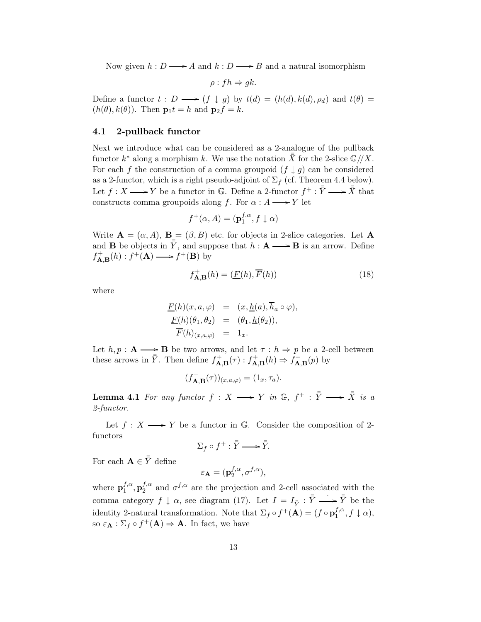Now given  $h : D \longrightarrow A$  and  $k : D \longrightarrow B$  and a natural isomorphism

 $\rho: fh \Rightarrow gk.$ 

Define a functor  $t : D \longrightarrow (f \downarrow g)$  by  $t(d) = (h(d), k(d), \rho_d)$  and  $t(\theta) =$  $(h(\theta), k(\theta))$ . Then  $\mathbf{p}_1 t = h$  and  $\mathbf{p}_2 f = k$ .

#### 4.1 2-pullback functor

Next we introduce what can be considered as a 2-analogue of the pullback functor  $k^*$  along a morphism k. We use the notation  $\bar{\bar{X}}$  for the 2-slice  $\mathbb{G}/X$ . For each f the construction of a comma groupoid  $(f \mid q)$  can be considered as a 2-functor, which is a right pseudo-adjoint of  $\Sigma_f$  (cf. Theorem 4.4 below). Let  $f: X \longrightarrow Y$  be a functor in G. Define a 2-functor  $f^+ : \overline{Y} \longrightarrow \overline{X}$  that constructs comma groupoids along f. For  $\alpha : A \longrightarrow Y$  let

$$
f^+(\alpha, A) = (\mathbf{p}_1^{f,\alpha}, f \downarrow \alpha)
$$

Write  $\mathbf{A} = (\alpha, A), \mathbf{B} = (\beta, B)$  etc. for objects in 2-slice categories. Let  $\mathbf{A}$ and **B** be objects in  $\bar{Y}$ , and suppose that  $h : \mathbf{A} \longrightarrow \mathbf{B}$  is an arrow. Define  $f_{\mathbf{A},\mathbf{B}}^{+}(h) : f^{+}(\mathbf{A}) \longrightarrow f^{+}(\mathbf{B})$  by

$$
f_{\mathbf{A},\mathbf{B}}^{+}(h) = (\underline{F}(h), \overline{F}(h))
$$
\n(18)

where

$$
\frac{F(h)(x, a, \varphi)}{F(h)(\theta_1, \theta_2)} = (x, \underline{h}(a), h_a \circ \varphi),
$$
  

$$
\frac{F(h)(\theta_1, \theta_2)}{F(h)_{(x, a, \varphi)}} = (a_1, \underline{h}(\theta_2)),
$$

Let  $h, p : \mathbf{A} \longrightarrow \mathbf{B}$  be two arrows, and let  $\tau : h \Rightarrow p$  be a 2-cell between these arrows in  $\bar{Y}$ . Then define  $f_{\mathbf{A},\mathbf{B}}^+(\tau) : f_{\mathbf{A},\mathbf{B}}^+(h) \Rightarrow \dot{f}_{\mathbf{A},\mathbf{B}}^+(p)$  by

$$
(f_{\mathbf{A},\mathbf{B}}^{+}(\tau))_{(x,a,\varphi)}=(1_x,\tau_a).
$$

**Lemma 4.1** For any functor  $f : X \longrightarrow Y$  in  $\mathbb{G}, f^+ : \overline{Y} \longrightarrow \overline{X}$  is a 2-functor.

Let  $f: X \longrightarrow Y$  be a functor in G. Consider the composition of 2functors

$$
\Sigma_f \circ f^+ : \bar{\bar{Y}} \longrightarrow \bar{\bar{Y}}.
$$

For each  $\mathbf{A} \in \bar{Y}$  define

$$
\varepsilon_{\mathbf{A}} = (\mathbf{p}_2^{f,\alpha}, \sigma^{f,\alpha}),
$$

where  ${\bf p}_1^{f,\alpha}$  $_{1}^{f,\alpha},\mathbf{p}_{2}^{f,\alpha}$  $\sigma_2^{f,\alpha}$  and  $\sigma^{f,\alpha}$  are the projection and 2-cell associated with the comma category  $f \downarrow \alpha$ , see diagram (17). Let  $I = I_{\bar{Y}} : \bar{Y} \longrightarrow \bar{Y}$  be the identity 2-natural transformation. Note that  $\Sigma_f \circ f^+(\mathbf{A}) = (f \circ \mathbf{p}_1^{f,\alpha})$  $j^{\prime,\alpha},f\downarrow\alpha),$ so  $\varepsilon_{\mathbf{A}} : \Sigma_f \circ f^+(\mathbf{A}) \Rightarrow \mathbf{A}$ . In fact, we have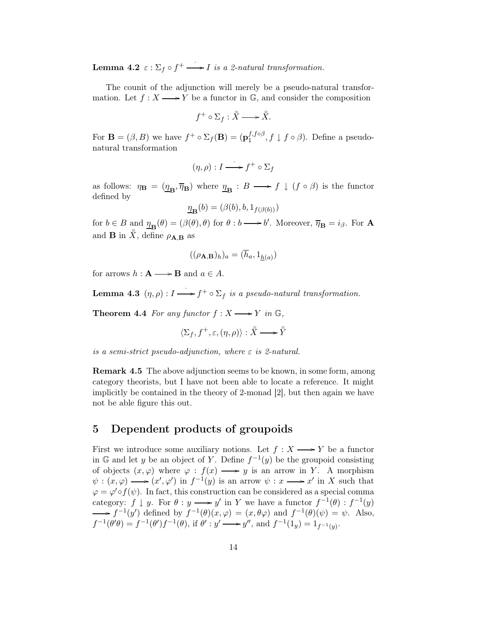**Lemma 4.2**  $\varepsilon : \Sigma_f \circ f^+ \longrightarrow I$  is a 2-natural transformation.

The counit of the adjunction will merely be a pseudo-natural transformation. Let  $f: X \longrightarrow Y$  be a functor in G, and consider the composition

$$
f^+ \circ \Sigma_f : \bar{\bar{X}} \longrightarrow \bar{\bar{X}}.
$$

For  $\mathbf{B} = (\beta, B)$  we have  $f^+ \circ \Sigma_f(\mathbf{B}) = (\mathbf{p}_1^{f, f \circ \beta})$  $f_1^{J,OP}, f \downarrow f \circ \beta$ . Define a pseudonatural transformation

$$
(\eta, \rho) : I \longrightarrow f^+ \circ \Sigma_f
$$

as follows:  $\eta_{\mathbf{B}} = (\underline{\eta}_{\mathbf{B}}, \overline{\eta}_{\mathbf{B}})$  where  $\underline{\eta}_{\mathbf{B}} : B \longrightarrow f \downarrow (f \circ \beta)$  is the functor defined by

$$
\underline{\eta}_{\mathbf{B}}(b) = (\beta(b), b, 1_{f(\beta(b))})
$$

for  $b \in B$  and  $\underline{\eta}_{\mathbf{B}}(\theta) = (\beta(\theta), \theta)$  for  $\theta : b \longrightarrow b'$ . Moreover,  $\overline{\eta}_{\mathbf{B}} = i_{\beta}$ . For **A** and **B** in  $\bar{X}$ , define  $\rho_{\mathbf{A},\mathbf{B}}$  as

$$
((\rho_{\mathbf{A},\mathbf{B}})_h)_a = (\overline{h}_a, 1_{\underline{h}(a)})
$$

for arrows  $h : \mathbf{A} \longrightarrow \mathbf{B}$  and  $a \in A$ .

**Lemma 4.3**  $(\eta, \rho): I \longrightarrow f^+ \circ \Sigma_f$  is a pseudo-natural transformation.

**Theorem 4.4** For any functor  $f : X \longrightarrow Y$  in  $\mathbb{G}$ ,

$$
\langle \Sigma_f, f^+, \varepsilon, (\eta, \rho) \rangle : \overline{\overline{X}} \longrightarrow \overline{\overline{Y}}
$$

is a semi-strict pseudo-adjunction, where  $\varepsilon$  is 2-natural.

Remark 4.5 The above adjunction seems to be known, in some form, among category theorists, but I have not been able to locate a reference. It might implicitly be contained in the theory of 2-monad [2], but then again we have not be able figure this out.

# 5 Dependent products of groupoids

First we introduce some auxiliary notions. Let  $f : X \longrightarrow Y$  be a functor in G and let y be an object of Y. Define  $f^{-1}(y)$  be the groupoid consisting of objects  $(x, \varphi)$  where  $\varphi : f(x) \longrightarrow y$  is an arrow in Y. A morphism  $\psi : (x, \varphi) \longrightarrow (x', \varphi')$  in  $f^{-1}(y)$  is an arrow  $\psi : x \longrightarrow x'$  in X such that  $\varphi = \varphi' \circ f(\psi)$ . In fact, this construction can be considered as a special comma category:  $f \downarrow y$ . For  $\theta : y \longrightarrow y'$  in Y we have a functor  $f^{-1}(\theta) : f^{-1}(y)$  $f^{-1}(y')$  defined by  $f^{-1}(\theta)(x,\varphi) = (x,\theta\varphi)$  and  $f^{-1}(\theta)(\psi) = \psi$ . Also,  $f^{-1}(\theta'\theta) = f^{-1}(\theta')f^{-1}(\theta)$ , if  $\theta' : y' \longrightarrow y''$ , and  $f^{-1}(1_y) = 1_{f^{-1}(y)}$ .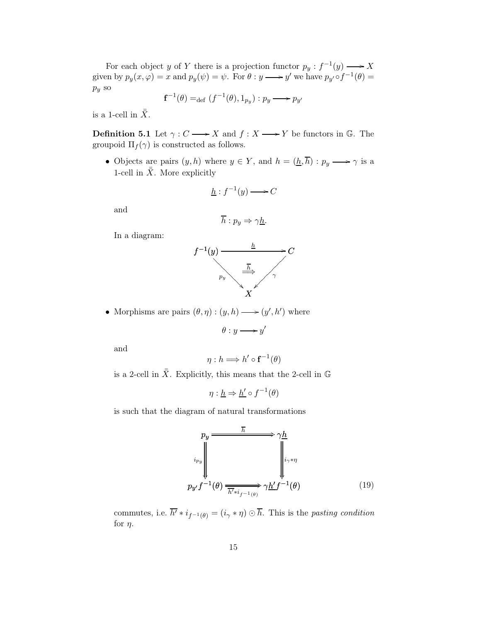For each object y of Y there is a projection functor  $p_y: f^{-1}(y) \longrightarrow X$ given by  $p_y(x, \varphi) = x$  and  $p_y(\psi) = \psi$ . For  $\theta : y \longrightarrow y'$  we have  $p_{y'} \circ f^{-1}(\theta) = y'$  $p_y$  so

$$
\mathbf{f}^{-1}(\theta) =_{\mathrm{def}} (f^{-1}(\theta), 1_{p_y}): p_y \longrightarrow p_{y'}
$$

is a 1-cell in  $\bar{\bar{X}}$ .

**Definition 5.1** Let  $\gamma: C \longrightarrow X$  and  $f: X \longrightarrow Y$  be functors in G. The groupoid  $\Pi_f(\gamma)$  is constructed as follows.

• Objects are pairs  $(y, h)$  where  $y \in Y$ , and  $h = (\underline{h}, \overline{h}) : p_y \longrightarrow \gamma$  is a 1-cell in  $\bar{\bar{X}}$ . More explicitly

$$
\underline{h}: f^{-1}(y) \longrightarrow C
$$

and

$$
\overline{h}: p_y \Rightarrow \gamma \underline{h}.
$$

In a diagram:



• Morphisms are pairs  $(\theta, \eta) : (y, h) \longrightarrow (y', h')$  where

$$
\theta: y \longrightarrow y'
$$

and

$$
\eta : h \Longrightarrow h' \circ \mathbf{f}^{-1}(\theta)
$$

is a 2-cell in  $\bar{\bar{X}}$ . Explicitly, this means that the 2-cell in G

$$
\eta: \underline{h} \Rightarrow \underline{h'} \circ f^{-1}(\theta)
$$

is such that the diagram of natural transformations

$$
p_y \xrightarrow{\overline{h}} \gamma \underline{h}
$$
\n
$$
v_{\nu_y} \downarrow \qquad \qquad v_{\nu} f^{-1}(\theta) \xrightarrow{\overline{h'} \ast i_{f^{-1}(\theta)}} \gamma \underline{h'} f^{-1}(\theta) \qquad (19)
$$

commutes, i.e.  $\overline{h'} * i_{f^{-1}(\theta)} = (i_{\gamma} * \eta) \odot \overline{h}$ . This is the pasting condition for  $\eta$ .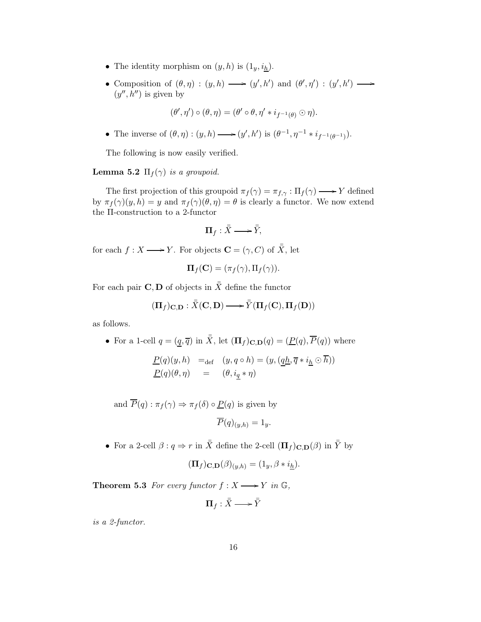- The identity morphism on  $(y,h)$  is  $(1_y,i_h)$ .
- Composition of  $(\theta, \eta) : (y, h) \longrightarrow (y', h')$  and  $(\theta', \eta') : (y', h')$ /  $(y'', h'')$  is given by

$$
(\theta',\eta')\circ(\theta,\eta)=(\theta'\circ\theta,\eta'*i_{f^{-1}(\theta)}\odot\eta).
$$

• The inverse of  $(\theta, \eta) : (y, h) \longrightarrow (y', h')$  is  $(\theta^{-1}, \eta^{-1} * i_{f^{-1}(\theta^{-1})}).$ 

The following is now easily verified.

**Lemma 5.2**  $\Pi_f(\gamma)$  is a groupoid.

The first projection of this groupoid  $\pi_f(\gamma) = \pi_{f,\gamma} : \Pi_f(\gamma) \longrightarrow Y$  defined by  $\pi_f(\gamma)(y,h) = y$  and  $\pi_f(\gamma)(\theta,\eta) = \theta$  is clearly a functor. We now extend the Π-construction to a 2-functor

$$
\Pi_f: \bar{\bar{X}} \longrightarrow \bar{\bar{Y}},
$$

for each  $f: X \longrightarrow Y$ . For objects  $\mathbf{C} = (\gamma, C)$  of  $\overline{X}$ , let

$$
\mathbf{\Pi}_f(\mathbf{C}) = (\pi_f(\gamma), \Pi_f(\gamma)).
$$

For each pair **C**, **D** of objects in  $\overline{\overline{X}}$  define the functor

$$
(\Pi_f)_{\mathbf{C},\mathbf{D}} : \bar{\bar{X}}(\mathbf{C},\mathbf{D}) \longrightarrow \bar{\bar{Y}}(\Pi_f(\mathbf{C}),\Pi_f(\mathbf{D}))
$$

as follows.

• For a 1-cell  $q = (q, \overline{q})$  in  $\overline{\overline{X}}$ , let  $(\mathbf{\Pi}_f)_{\mathbf{C},\mathbf{D}}(q) = (\underline{P}(q), \overline{P}(q))$  where

$$
\underline{P}(q)(y, h) =_{\text{def}} (y, q \circ h) = (y, (\underline{qh}, \overline{q} * i_{\underline{h}} \odot \overline{h}))
$$
  

$$
\underline{P}(q)(\theta, \eta) = (\theta, i_q * \eta)
$$

and  $\overline{P}(q) : \pi_f(\gamma) \Rightarrow \pi_f(\delta) \circ \underline{P}(q)$  is given by

$$
\overline{P}(q)_{(y,h)} = 1_y.
$$

• For a 2-cell  $\beta: q \Rightarrow r$  in  $\bar{\bar{X}}$  define the 2-cell  $(\mathbf{\Pi}_f)_{\mathbf{C},\mathbf{D}}(\beta)$  in  $\bar{\bar{Y}}$  by

$$
(\mathbf{\Pi}_f)_{\mathbf{C},\mathbf{D}}(\beta)_{(y,h)} = (1_y, \beta * i_h).
$$

**Theorem 5.3** For every functor  $f : X \longrightarrow Y$  in  $\mathbb{G}$ ,

$$
\Pi_f:\bar{\bar{X}}\longrightarrow\bar{\bar{Y}}
$$

is a 2-functor.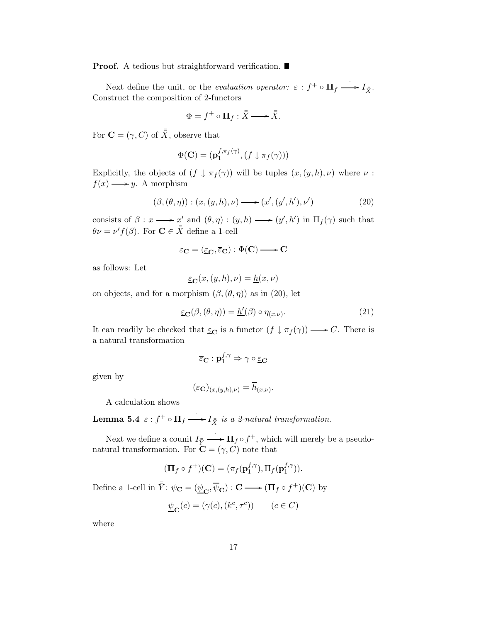**Proof.** A tedious but straightforward verification.

Next define the unit, or the *evaluation operator:*  $\varepsilon : f^+ \circ \Pi_f \longrightarrow I_{\bar{X}}$ . Construct the composition of 2-functors

$$
\Phi = f^+ \circ \Pi_f : \bar{\bar{X}} \longrightarrow \bar{\bar{X}}.
$$

For  $\mathbf{C} = (\gamma, C)$  of  $\overline{\overline{X}}$ , observe that

$$
\Phi(\mathbf{C}) = (\mathbf{p}_1^{f,\pi_f(\gamma)}, (f \downarrow \pi_f(\gamma)))
$$

Explicitly, the objects of  $(f \downarrow \pi_f(\gamma))$  will be tuples  $(x,(y,h),\nu)$  where  $\nu$ :  $f(x) \longrightarrow y$ . A morphism

$$
(\beta, (\theta, \eta)) : (x, (y, h), \nu) \longrightarrow (x', (y', h'), \nu')
$$
\n
$$
(20)
$$

consists of  $\beta: x \longrightarrow x'$  and  $(\theta, \eta): (y, h) \longrightarrow (y', h')$  in  $\Pi_f(\gamma)$  such that  $\theta \nu = \nu' f(\beta)$ . For  $\mathbf{C} \in \overline{X}$  define a 1-cell

$$
\varepsilon_{\mathbf{C}} = (\underline{\varepsilon}_{\mathbf{C}}, \overline{\varepsilon}_{\mathbf{C}}) : \Phi(\mathbf{C}) \longrightarrow \mathbf{C}
$$

as follows: Let

$$
\underline{\varepsilon}_{\mathbf{C}}(x,(y,h),\nu) = \underline{h}(x,\nu)
$$

on objects, and for a morphism  $(\beta, (\theta, \eta))$  as in (20), let

$$
\underline{\varepsilon}_{\mathbf{C}}(\beta,(\theta,\eta)) = \underline{h}'(\beta) \circ \eta_{(x,\nu)}.
$$
\n(21)

It can readily be checked that  $\underline{\varepsilon}_{\mathbf{C}}$  is a functor  $(f \downarrow \pi_f(\gamma)) \longrightarrow C$ . There is a natural transformation

$$
\overline{\varepsilon}_\mathbf{C} : \mathbf{p}^{f,\gamma}_1 \Rightarrow \gamma \circ \underline{\varepsilon}_\mathbf{C}
$$

given by

$$
(\overline{\varepsilon}_{\mathbf{C}})_{(x,(y,h),\nu)} = \overline{h}_{(x,\nu)}.
$$

A calculation shows

Lemma 5.4  $\varepsilon$  :  $f^+ \circ \Pi_f \longrightarrow I_{\bar{X}}$  is a 2-natural transformation.

Next we define a counit  $I_{\bar Y}$  $\longrightarrow \Pi_f \circ f^+$ , which will merely be a pseudonatural transformation. For  $\mathbf{C} = (\gamma, C)$  note that

$$
(\mathbf{\Pi}_f \circ f^+)(\mathbf{C}) = (\pi_f(\mathbf{p}_1^{f,\gamma}), \Pi_f(\mathbf{p}_1^{f,\gamma})).
$$

Define a 1-cell in  $\bar{Y}$ :  $\psi_{\mathbf{C}} = (\underline{\psi}_{\mathbf{C}}, \overline{\psi}_{\mathbf{C}}) : \mathbf{C} \longrightarrow (\mathbf{\Pi}_f \circ f^+) (\mathbf{C})$  by

$$
\underline{\psi}_{\mathbf{C}}(c) = (\gamma(c), (k^c, \tau^c)) \qquad (c \in C)
$$

where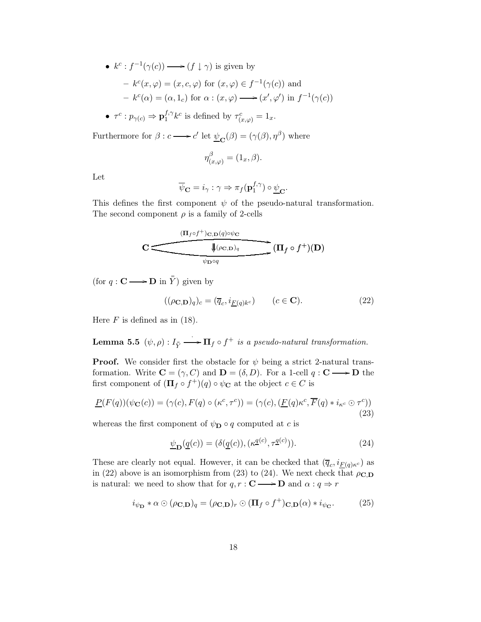•  $k^c: f^{-1}(\gamma(c)) \longrightarrow (f \downarrow \gamma)$  is given by

- 
$$
k^c(x, \varphi) = (x, c, \varphi)
$$
 for  $(x, \varphi) \in f^{-1}(\gamma(c))$  and  
\n-  $k^c(\alpha) = (\alpha, 1_c)$  for  $\alpha : (x, \varphi) \longrightarrow (x', \varphi')$  in  $f^{-1}(\gamma(c))$ 

 $\bullet\ \ \tau^c: p_{\gamma(c)}\Rightarrow\mathbf{p}^{f,\gamma}_1$  $f_1^{f,\gamma}k^c$  is defined by  $\tau_{(x,\varphi)}^c=1_x$ .

Furthermore for  $\beta$  :  $c \longrightarrow c'$  let  $\underline{\psi}_{\mathbf{C}}(\beta) = (\gamma(\beta), \eta^{\beta})$  where

$$
\eta_{(x,\varphi)}^\beta=(1_x,\beta).
$$

Let

$$
\overline{\psi}_{\mathbf{C}} = i_{\gamma} : \gamma \Rightarrow \pi_f(\mathbf{p}_1^{f,\gamma}) \circ \underline{\psi}_{\mathbf{C}}.
$$

This defines the first component  $\psi$  of the pseudo-natural transformation. The second component  $\rho$  is a family of 2-cells

$$
\mathbf{C} \stackrel{(\Pi_f \circ f^+)_{\mathbf{C},\mathbf{D}(q)\circ\psi_{\mathbf{C}}}}{\overbrace{\psi_{\mathbf{D}\circ q}}^{\text{up of }+}) (\mathbf{D})}
$$

(for  $q: \mathbf{C} \longrightarrow \mathbf{D}$  in  $\overline{\overline{Y}}$ ) given by

$$
((\rho \mathbf{C}, \mathbf{D})_q)_c = (\overline{q}_c, i_{\underline{F}(q)k^c}) \qquad (c \in \mathbf{C}).
$$
\n(22)

Here  $F$  is defined as in (18).

 $\bf{Lemma \ 5.5}\ \ (\psi,\rho): I_{\bar Y}$  $\overrightarrow{H}_f \circ f^+$  is a pseudo-natural transformation.

**Proof.** We consider first the obstacle for  $\psi$  being a strict 2-natural transformation. Write  $\mathbf{C} = (\gamma, C)$  and  $\mathbf{D} = (\delta, D)$ . For a 1-cell  $q : \mathbf{C} \longrightarrow \mathbf{D}$  the first component of  $(\mathbf{\Pi}_f \circ f^+)(q) \circ \psi_{\mathbf{C}}$  at the object  $c \in C$  is

$$
\underline{P}(F(q))(\psi_{\mathbf{C}}(c)) = (\gamma(c), F(q) \circ (\kappa^c, \tau^c)) = (\gamma(c), (\underline{F}(q)\kappa^c, \overline{F}(q) * i_{\kappa^c} \odot \tau^c))
$$
\n(23)

whereas the first component of  $\psi_{\mathbf{D}} \circ q$  computed at c is

$$
\underline{\psi}_{\mathbf{D}}(\underline{q}(c)) = (\delta(\underline{q}(c)), (\kappa \underline{q}(c), \tau \underline{q}(c))). \tag{24}
$$

These are clearly not equal. However, it can be checked that  $(\overline{q}_c, i_{\underline{F}(q)\kappa^c})$  as in (22) above is an isomorphism from (23) to (24). We next check that  $\rho_{\mathbf{C},\mathbf{D}}$ is natural: we need to show that for  $q, r : \mathbf{C} \longrightarrow \mathbf{D}$  and  $\alpha : q \Rightarrow r$ 

$$
i_{\psi_{\mathbf{D}}} * \alpha \odot (\rho_{\mathbf{C},\mathbf{D}})_q = (\rho_{\mathbf{C},\mathbf{D}})_r \odot (\mathbf{\Pi}_f \circ f^+)_{\mathbf{C},\mathbf{D}}(\alpha) * i_{\psi_{\mathbf{C}}}.
$$
 (25)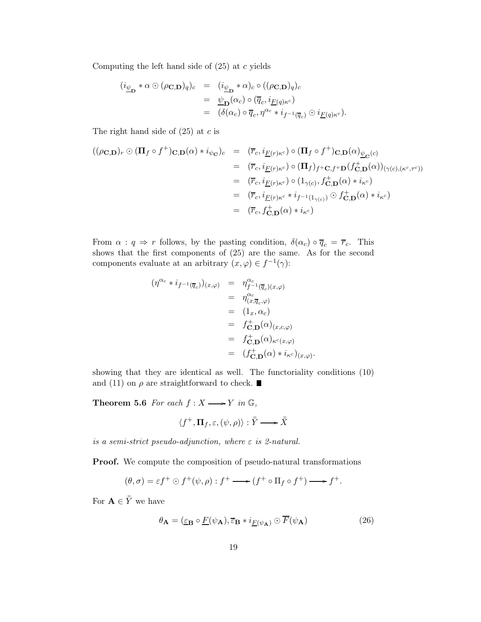Computing the left hand side of  $(25)$  at c yields

$$
\begin{array}{rcl}\n(i_{\underline{\psi}_{\mathbf{D}}} * \alpha \odot (\rho_{\mathbf{C},\mathbf{D}})_q)_c & = & (i_{\underline{\psi}_{\mathbf{D}}} * \alpha)_c \circ ((\rho_{\mathbf{C},\mathbf{D}})_q)_c \\
 & = & \underline{\psi}_{\mathbf{D}}(\alpha_c) \circ (\overline{q}_c, i_{\underline{F}(q)\kappa^c}) \\
 & = & (\delta(\alpha_c) \circ \overline{q}_c, \eta^{\alpha_c} * i_{f^{-1}(\overline{q}_c)} \odot i_{\underline{F}(q)\kappa^c}).\n\end{array}
$$

The right hand side of  $(25)$  at c is

$$
\begin{array}{rcl}\n((\rho_{\mathbf{C},\mathbf{D}})_r \odot (\mathbf{\Pi}_f \circ f^+)_{\mathbf{C},\mathbf{D}}(\alpha) * i_{\psi_{\mathbf{C}}})_c & = & (\overline{r}_c, i_{\underline{F}(r)\kappa^c}) \circ (\mathbf{\Pi}_f \circ f^+)_{\mathbf{C},\mathbf{D}}(\alpha)_{\underline{\psi}_{\mathbf{C}}(c)} \\
 & = & (\overline{r}_c, i_{\underline{F}(r)\kappa^c}) \circ (\mathbf{\Pi}_f)_{f^+ \mathbf{C}, f^+ \mathbf{D}}(f^+_{\mathbf{C},\mathbf{D}}(\alpha))_{(\gamma(c),(\kappa^c,\tau^c))} \\
 & = & (\overline{r}_c, i_{\underline{F}(r)\kappa^c}) \circ (1_{\gamma(c)}, f^+_{\mathbf{C},\mathbf{D}}(\alpha) * i_{\kappa^c}) \\
 & = & (\overline{r}_c, i_{\underline{F}(r)\kappa^c} * i_{f^{-1}(1_{\gamma(c)})} \odot f^+_{\mathbf{C},\mathbf{D}}(\alpha) * i_{\kappa^c}) \\
 & = & (\overline{r}_c, f^+_{\mathbf{C},\mathbf{D}}(\alpha) * i_{\kappa^c})\n\end{array}
$$

From  $\alpha : q \Rightarrow r$  follows, by the pasting condition,  $\delta(\alpha_c) \circ \overline{q}_c = \overline{r}_c$ . This shows that the first components of (25) are the same. As for the second components evaluate at an arbitrary  $(x, \varphi) \in f^{-1}(\gamma)$ :

$$
(\eta^{\alpha_c} * i_{f^{-1}(\overline{q}_c)})_{(x,\varphi)} = \eta_{f^{-1}(\overline{q}_c)(x,\varphi)}^{\alpha_c}
$$
  
\n
$$
= \eta_{(x,\overline{q}_c,\varphi)}^{\alpha_c}
$$
  
\n
$$
= (1_x, \alpha_c)
$$
  
\n
$$
= f_{\mathbf{C},\mathbf{D}}^+(\alpha)_{(x,c,\varphi)}
$$
  
\n
$$
= f_{\mathbf{C},\mathbf{D}}^+(\alpha)_{\kappa^c(x,\varphi)}
$$
  
\n
$$
= (f_{\mathbf{C},\mathbf{D}}^+(\alpha) * i_{\kappa^c})_{(x,\varphi)}.
$$

showing that they are identical as well. The functoriality conditions (10) and (11) on  $\rho$  are straightforward to check.

**Theorem 5.6** For each  $f : X \longrightarrow Y$  in  $\mathbb{G}$ ,

$$
\langle f^+, \Pi_f, \varepsilon, (\psi, \rho) \rangle : \overline{\overline{Y}} \longrightarrow \overline{\overline{X}}
$$

is a semi-strict pseudo-adjunction, where  $\varepsilon$  is 2-natural.

Proof. We compute the composition of pseudo-natural transformations

$$
(\theta,\sigma)=\varepsilon f^+\odot f^+(\psi,\rho):f^+\longrightarrow (f^+\circ\Pi_f\circ f^+) \longrightarrow f^+.
$$

For  $\mathbf{A} \in \bar{\bar{Y}}$  we have

$$
\theta_{\mathbf{A}} = (\underline{\varepsilon}_{\mathbf{B}} \circ \underline{F}(\psi_{\mathbf{A}}), \overline{\varepsilon}_{\mathbf{B}} * i_{\underline{F}(\psi_{\mathbf{A}})} \odot \overline{F}(\psi_{\mathbf{A}})
$$
(26)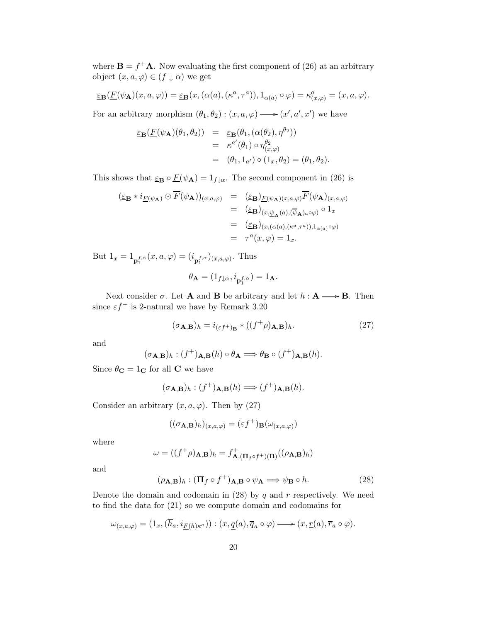where  $\mathbf{B} = f^+ \mathbf{A}$ . Now evaluating the first component of (26) at an arbitrary object  $(x, a, \varphi) \in (f \downarrow \alpha)$  we get

$$
\underline{\varepsilon}_{\mathbf{B}}(\underline{F}(\psi_{\mathbf{A}})(x,a,\varphi)) = \underline{\varepsilon}_{\mathbf{B}}(x,(\alpha(a),(\kappa^a,\tau^a)),1_{\alpha(a)}\circ\varphi) = \kappa^a_{(x,\varphi)} = (x,a,\varphi).
$$

For an arbitrary morphism  $(\theta_1, \theta_2) : (x, a, \varphi) \longrightarrow (x', a', x')$  we have

$$
\begin{array}{rcl}\n\varepsilon_{\mathbf{B}}(\underline{F}(\psi_{\mathbf{A}})(\theta_1, \theta_2)) & = & \varepsilon_{\mathbf{B}}(\theta_1, (\alpha(\theta_2), \eta^{\theta_2})) \\
& = & \kappa^{a'}(\theta_1) \circ \eta_{(x,\varphi)}^{\theta_2} \\
& = & (\theta_1, 1_{a'}) \circ (1_x, \theta_2) = (\theta_1, \theta_2).\n\end{array}
$$

This shows that  $\underline{\varepsilon}_{\mathbf{B}} \circ \underline{F}(\psi_{\mathbf{A}}) = 1_{f \downarrow \alpha}$ . The second component in (26) is

$$
\begin{array}{rcl}\n(\underline{\varepsilon}_{\mathbf{B}} * i_{\underline{F}(\psi_{\mathbf{A}})} \odot \overline{F}(\psi_{\mathbf{A}}))_{(x,a,\varphi)} & = & (\underline{\varepsilon}_{\mathbf{B}})_{\underline{F}(\psi_{\mathbf{A}})(x,a,\varphi)} \overline{F}(\psi_{\mathbf{A}})_{(x,a,\varphi)} \\
 & = & (\underline{\varepsilon}_{\mathbf{B}})_{(x,\underline{\psi}_{\mathbf{A}}(a),(\overline{\psi}_{\mathbf{A}})_{a}\circ\varphi)} \circ 1_x \\
 & = & (\underline{\varepsilon}_{\mathbf{B}})_{(x,(\alpha(a),(\kappa^a,\tau^a)),1_{\alpha(a)}\circ\varphi)} \\
 & = & \tau^a(x,\varphi) = 1_x.\n\end{array}
$$

But  $1_x = 1_{\mathbf{p}_1^{f,\alpha}}(x,a,\varphi) = (i_{\mathbf{p}_1^{f,\alpha}})_{(x,a,\varphi)}$ . Thus

$$
\theta_{\mathbf{A}} = (1_{f\downarrow\alpha}, i_{\mathbf{p}_1^{f,\alpha}}) = 1_{\mathbf{A}}.
$$

Next consider  $\sigma$ . Let **A** and **B** be arbitrary and let  $h : \mathbf{A} \longrightarrow \mathbf{B}$ . Then since  $\varepsilon f^+$  is 2-natural we have by Remark 3.20

$$
(\sigma_{\mathbf{A}, \mathbf{B}})_h = i_{(\varepsilon f^+)_\mathbf{B}} * ((f^+ \rho)_{\mathbf{A}, \mathbf{B}})_h.
$$
 (27)

and

$$
(\sigma_{\mathbf{A},\mathbf{B}})_h : (f^+)_{\mathbf{A},\mathbf{B}}(h) \circ \theta_{\mathbf{A}} \Longrightarrow \theta_{\mathbf{B}} \circ (f^+)_{\mathbf{A},\mathbf{B}}(h).
$$

Since  $\theta_{\bf C}=1_{\bf C}$  for all  ${\bf C}$  we have

$$
(\sigma_{\mathbf{A},\mathbf{B}})_h : (f^+)_{\mathbf{A},\mathbf{B}}(h) \Longrightarrow (f^+)_{\mathbf{A},\mathbf{B}}(h).
$$

Consider an arbitrary  $(x, a, \varphi)$ . Then by (27)

$$
((\sigma_{\mathbf{A},\mathbf{B}})_h)_{(x,a,\varphi)} = (\varepsilon f^+)_{\mathbf{B}}(\omega_{(x,a,\varphi)})
$$

where

$$
\omega = ((f^+ \rho)_{\mathbf{A}, \mathbf{B}})_h = f^+_{\mathbf{A}, (\mathbf{\Pi}_f \circ f^+)(\mathbf{B})}((\rho_{\mathbf{A}, \mathbf{B}})_h)
$$

and

$$
(\rho_{\mathbf{A},\mathbf{B}})_h : (\mathbf{\Pi}_f \circ f^+)_{\mathbf{A},\mathbf{B}} \circ \psi_\mathbf{A} \Longrightarrow \psi_\mathbf{B} \circ h. \tag{28}
$$

Denote the domain and codomain in  $(28)$  by q and r respectively. We need to find the data for (21) so we compute domain and codomains for

$$
\omega_{(x,a,\varphi)}=(1_x,(\overline{h}_a,i_{\underline{F}(h)\kappa^a})):(x,\underline{q}(a),\overline{q}_a\circ\varphi)\longrightarrow (x,\underline{r}(a),\overline{r}_a\circ\varphi).
$$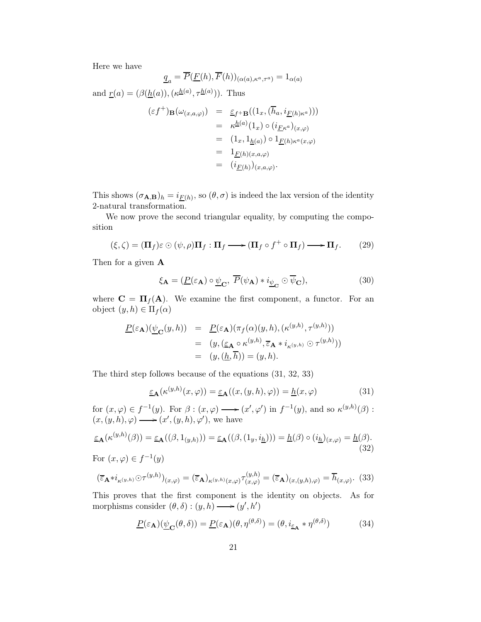Here we have

$$
\underline{q}_a = \overline{P}(\underline{F}(h), \overline{F}(h))_{(\alpha(a), \kappa^a, \tau^a)} = 1_{\alpha(a)}
$$

and  $\underline{r}(a) = (\beta(\underline{h}(a)),(\kappa^{\underline{h}(a)}, \tau^{\underline{h}(a)}))$ . Thus

$$
\begin{array}{rcl}\n(\varepsilon f^+)_{\mathbf{B}}(\omega_{(x,a,\varphi)}) & = & \underline{\varepsilon}_{f^+ \mathbf{B}}((1_x, (\overline{h}_a, i_{\underline{F}(h)\kappa^a}))) \\
 & = & \kappa^{\underline{h}(a)}(1_x) \circ (i_{\underline{F}\kappa^a})_{(x,\varphi)} \\
 & = & (1_x, 1_{\underline{h}(a)}) \circ 1_{\underline{F}(h)\kappa^a(x,\varphi)} \\
 & = & 1_{\underline{F}(h)(x,a,\varphi)} \\
 & = & (i_{\underline{F}(h)})_{(x,a,\varphi)}.\n\end{array}
$$

This shows  $(\sigma_{A,B})_h = i_{\underline{F}(h)},$  so  $(\theta, \sigma)$  is indeed the lax version of the identity 2-natural transformation.

We now prove the second triangular equality, by computing the composition

$$
(\xi,\zeta) = (\Pi_f)\varepsilon \odot (\psi,\rho)\Pi_f : \Pi_f \longrightarrow (\Pi_f \circ f^+ \circ \Pi_f) \longrightarrow \Pi_f. \tag{29}
$$

Then for a given A

$$
\xi_{\mathbf{A}} = (\underline{P}(\varepsilon_{\mathbf{A}}) \circ \underline{\psi}_{\mathbf{C}}, \ \overline{P}(\psi_{\mathbf{A}}) * i_{\underline{\psi}_{\mathbf{C}}} \odot \overline{\psi}_{\mathbf{C}}), \tag{30}
$$

where  $\mathbf{C} = \mathbf{\Pi}_f(\mathbf{A})$ . We examine the first component, a functor. For an object  $(y,h) \in \Pi_f(\alpha)$ 

$$
\underline{P}(\varepsilon_{\mathbf{A}})(\underline{\psi}_{\mathbf{C}}(y,h)) = \underline{P}(\varepsilon_{\mathbf{A}})(\pi_f(\alpha)(y,h),(\kappa^{(y,h)},\tau^{(y,h)}))
$$
  
\n
$$
= (y,(\underline{\varepsilon}_{\mathbf{A}} \circ \kappa^{(y,h)},\overline{\varepsilon}_{\mathbf{A}} * i_{\kappa^{(y,h)}} \odot \tau^{(y,h)}))
$$
  
\n
$$
= (y,(\underline{h},\overline{h})) = (y,h).
$$

The third step follows because of the equations (31, 32, 33)

$$
\underline{\varepsilon}_{\mathbf{A}}(\kappa^{(y,h)}(x,\varphi)) = \underline{\varepsilon}_{\mathbf{A}}((x,(y,h),\varphi)) = \underline{h}(x,\varphi)
$$
\n(31)

for  $(x, \varphi) \in f^{-1}(y)$ . For  $\beta : (x, \varphi) \longrightarrow (x', \varphi')$  in  $f^{-1}(y)$ , and so  $\kappa^{(y,h)}(\beta)$ :  $(x,(y,h),\varphi) \longrightarrow (x',(y,h),\varphi')$ , we have

$$
\underline{\varepsilon}_{\mathbf{A}}(\kappa^{(y,h)}(\beta)) = \underline{\varepsilon}_{\mathbf{A}}((\beta, 1_{(y,h)})) = \underline{\varepsilon}_{\mathbf{A}}((\beta, (1_y, i_{\underline{h}}))) = \underline{h}(\beta) \circ (i_{\underline{h}})_{(x,\varphi)} = \underline{h}(\beta).
$$
\n(32)

For  $(x, \varphi) \in f^{-1}(y)$ 

$$
(\overline{\varepsilon}_{\mathbf{A}} * i_{\kappa^{(y,h)}} \odot \tau^{(y,h)})_{(x,\varphi)} = (\overline{\varepsilon}_{\mathbf{A}})_{\kappa^{(y,h)}(x,\varphi)} \tau^{(y,h)}_{(x,\varphi)} = (\overline{\varepsilon}_{\mathbf{A}})_{(x,(y,h),\varphi)} = \overline{h}_{(x,\varphi)}.
$$
 (33)

This proves that the first component is the identity on objects. As for morphisms consider  $(\theta, \delta) : (y, h) \longrightarrow (y', h')$ 

$$
\underline{P}(\varepsilon_{\mathbf{A}})(\underline{\psi}_{\mathbf{C}}(\theta,\delta)) = \underline{P}(\varepsilon_{\mathbf{A}})(\theta,\eta^{(\theta,\delta)}) = (\theta, i_{\underline{\varepsilon}_{\mathbf{A}}} * \eta^{(\theta,\delta)})
$$
(34)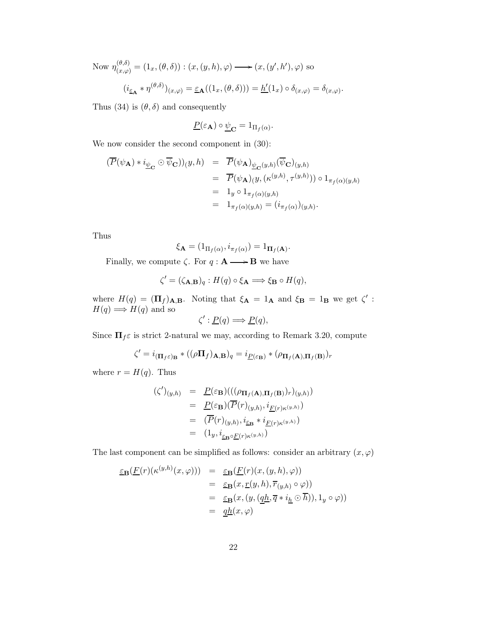Now  $\eta_{(x,\varphi)}^{(\theta,\delta)} = (1_x, (\theta,\delta)) : (x,(y,h),\varphi) \longrightarrow (x,(y',h'),\varphi)$  so  $(i_{\underline{\varepsilon}_{\mathbf{A}}} * \eta^{(\theta,\delta)})_{(x,\varphi)} = \underline{\varepsilon}_{\mathbf{A}}((1_x, (\theta,\delta))) = \underline{h}'(1_x) \circ \delta_{(x,\varphi)} = \delta_{(x,\varphi)}.$ 

Thus (34) is  $(\theta, \delta)$  and consequently

$$
\underline{P}(\varepsilon_{\mathbf{A}}) \circ \underline{\psi}_{\mathbf{C}} = 1_{\Pi_f(\alpha)}.
$$

We now consider the second component in (30):

$$
\begin{array}{rcl}\n(\overline{P}(\psi_{\mathbf{A}}) * i_{\underline{\psi}_{\mathbf{C}}} \odot \overline{\psi}_{\mathbf{C}})(y, h) & = & \overline{P}(\psi_{\mathbf{A}})_{\underline{\psi}_{\mathbf{C}}(y, h)}(\overline{\psi}_{\mathbf{C}})_{(y, h)} \\
& = & \overline{P}(\psi_{\mathbf{A}})(y, (\kappa^{(y, h)}, \tau^{(y, h)})) \circ 1_{\pi_f(\alpha)(y, h)} \\
& = & 1_y \circ 1_{\pi_f(\alpha)(y, h)} \\
& = & 1_{\pi_f(\alpha)(y, h)} = (i_{\pi_f(\alpha)})(y, h).\n\end{array}
$$

Thus

$$
\xi_{\mathbf{A}} = (\mathbf{1}_{\Pi_f(\alpha)}, i_{\pi_f(\alpha)}) = \mathbf{1}_{\mathbf{\Pi}_f(\mathbf{A})}.
$$

Finally, we compute  $\zeta$ . For  $q : \mathbf{A} \longrightarrow \mathbf{B}$  we have

$$
\zeta' = (\zeta_{\mathbf{A},\mathbf{B}})_q : H(q) \circ \xi_{\mathbf{A}} \Longrightarrow \xi_{\mathbf{B}} \circ H(q),
$$

where  $H(q) = (\mathbf{\Pi}_f)_{\mathbf{A},\mathbf{B}}$ . Noting that  $\xi_{\mathbf{A}} = 1_{\mathbf{A}}$  and  $\xi_{\mathbf{B}} = 1_{\mathbf{B}}$  we get  $\zeta'$ :  $H(q) \Longrightarrow H(q)$  and so ζ

$$
': \underline{P}(q) \Longrightarrow \underline{P}(q),
$$

Since  $\Pi_f \varepsilon$  is strict 2-natural we may, according to Remark 3.20, compute

$$
\zeta' = i_{(\Pi_f \varepsilon) \mathbf{B}} * ((\rho \Pi_f)_{\mathbf{A}, \mathbf{B}})_q = i_{\underline{P}(\varepsilon_{\mathbf{B}})} * (\rho_{\Pi_f(\mathbf{A}), \Pi_f(\mathbf{B})})_r
$$

where  $r = H(q)$ . Thus

$$
\begin{array}{rcl}\n(\zeta')_{(y,h)} & = & \underline{P}(\varepsilon_{\mathbf{B}})(( (\rho_{\Pi_f(\mathbf{A}), \Pi_f(\mathbf{B})})_r)_{(y,h)}) \\
 & = & \underline{P}(\varepsilon_{\mathbf{B}})(\overline{P}(r)_{(y,h)}, i_{\underline{F}(r)\kappa^{(y,h)}}) \\
 & = & (\overline{P}(r)_{(y,h)}, i_{\underline{\varepsilon}_{\mathbf{B}}} * i_{\underline{F}(r)\kappa^{(y,h)}}) \\
 & = & (1_y, i_{\underline{\varepsilon}_{\mathbf{B}} \circ \underline{F}(r)\kappa^{(y,h)}})\n\end{array}
$$

The last component can be simplified as follows: consider an arbitrary  $(x, \varphi)$ 

$$
\underline{\varepsilon}_{\mathbf{B}}(\underline{F}(r)(\kappa^{(y,h)}(x,\varphi))) = \underline{\varepsilon}_{\mathbf{B}}(\underline{F}(r)(x,(y,h),\varphi))
$$
  
\n
$$
= \underline{\varepsilon}_{\mathbf{B}}(x,\underline{r}(y,h),\overline{r}_{(y,h)} \circ \varphi))
$$
  
\n
$$
= \underline{\varepsilon}_{\mathbf{B}}(x,(y,(\underline{q}\underline{h},\overline{q} * i_{\underline{h}} \odot \overline{h})),1_y \circ \varphi))
$$
  
\n
$$
= \underline{q}\underline{h}(x,\varphi)
$$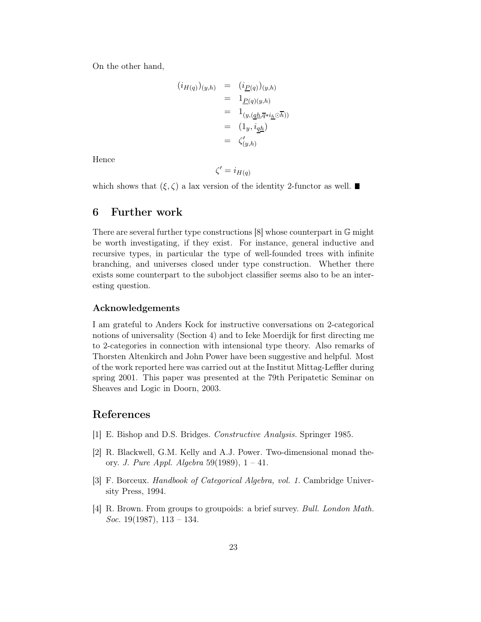On the other hand,

$$
(i_{H(q)})_{(y,h)} = (i_{\underline{P}(q)})_{(y,h)}
$$
  
=  $1_{\underline{P}(q)(y,h)}$   
=  $1_{(y, (\underline{q}\underline{h}, \overline{q} * i_{\underline{h}} \odot \overline{h}))}$   
=  $(1_y, i_{\underline{q}\underline{h}})$   
=  $\zeta'_{(y,h)}$ 

Hence

$$
\zeta'=i_{H(q)}
$$

which shows that  $(\xi,\zeta)$  a lax version of the identity 2-functor as well.

# 6 Further work

There are several further type constructions [8] whose counterpart in G might be worth investigating, if they exist. For instance, general inductive and recursive types, in particular the type of well-founded trees with infinite branching, and universes closed under type construction. Whether there exists some counterpart to the subobject classifier seems also to be an interesting question.

### Acknowledgements

I am grateful to Anders Kock for instructive conversations on 2-categorical notions of universality (Section 4) and to Ieke Moerdijk for first directing me to 2-categories in connection with intensional type theory. Also remarks of Thorsten Altenkirch and John Power have been suggestive and helpful. Most of the work reported here was carried out at the Institut Mittag-Leffler during spring 2001. This paper was presented at the 79th Peripatetic Seminar on Sheaves and Logic in Doorn, 2003.

# References

- [1] E. Bishop and D.S. Bridges. Constructive Analysis. Springer 1985.
- [2] R. Blackwell, G.M. Kelly and A.J. Power. Two-dimensional monad theory. J. Pure Appl. Algebra 59(1989),  $1 - 41$ .
- [3] F. Borceux. Handbook of Categorical Algebra, vol. 1. Cambridge University Press, 1994.
- [4] R. Brown. From groups to groupoids: a brief survey. Bull. London Math. *Soc.* 19(1987),  $113 - 134$ .